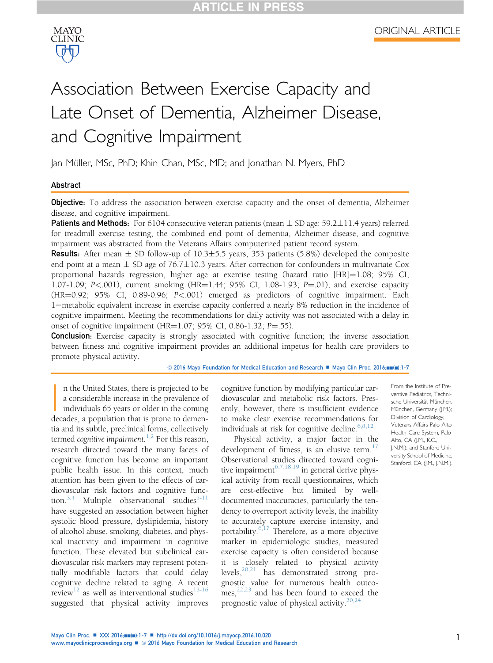



# Association Between Exercise Capacity and Late Onset of Dementia, Alzheimer Disease, and Cognitive Impairment

Jan Müller, MSc, PhD; Khin Chan, MSc, MD; and Jonathan N. Myers, PhD

### Abstract

**Objective:** To address the association between exercise capacity and the onset of dementia, Alzheimer disease, and cognitive impairment.

**Patients and Methods:** For 6104 consecutive veteran patients (mean  $\pm$  SD age: 59.2 $\pm$ 11.4 years) referred for treadmill exercise testing, the combined end point of dementia, Alzheimer disease, and cognitive impairment was abstracted from the Veterans Affairs computerized patient record system.

**Results:** After mean  $\pm$  SD follow-up of 10.3 $\pm$ 5.5 years, 353 patients (5.8%) developed the composite end point at a mean  $\pm$  SD age of 76.7 $\pm$ 10.3 years. After correction for confounders in multivariate Cox proportional hazards regression, higher age at exercise testing (hazard ratio  $[HR]=1.08$ ; 95% CI, 1.07-1.09; P<.001), current smoking  $(HR=1.44; 95\% \text{ CI}, 1.08-1.93; P=.01)$ , and exercise capacity (HR=0.92; 95% CI, 0.89-0.96; P<.001) emerged as predictors of cognitive impairment. Each 1-metabolic equivalent increase in exercise capacity conferred a nearly 8% reduction in the incidence of cognitive impairment. Meeting the recommendations for daily activity was not associated with a delay in onset of cognitive impairment (HR= $1.07$ ; 95% CI, 0.86-1.32; P=.55).

**Conclusion:** Exercise capacity is strongly associated with cognitive function; the inverse association between fitness and cognitive impairment provides an additional impetus for health care providers to promote physical activity.

© 2016 Mayo Foundation for Medical Education and Research <sup>m</sup> Mayo Clin Proc. 2016;mm(m):1-7

|<br>de n the United States, there is projected to be a considerable increase in the prevalence of individuals 65 years or older in the coming decades, a population that is prone to dementia and its subtle, preclinical forms, collectively termed *cognitive* impairment.<sup>[1,2](#page-5-0)</sup> For this reason,<br>research directed toward the many facets of research directed toward the many facets of cognitive function has become an important public health issue. In this context, much attention has been given to the effects of cardiovascular risk factors and cognitive func-tion.<sup>[3,4](#page-5-0)</sup> Multiple observational studies<sup>[5-11](#page-5-0)</sup> have suggested an association between higher systolic blood pressure, dyslipidemia, history of alcohol abuse, smoking, diabetes, and physical inactivity and impairment in cognitive function. These elevated but subclinical cardiovascular risk markers may represent potentially modifiable factors that could delay cognitive decline related to aging. A recent review<sup>[12](#page-6-0)</sup> as well as interventional studies<sup>[13-16](#page-6-0)</sup> suggested that physical activity improves

cognitive function by modifying particular cardiovascular and metabolic risk factors. Presently, however, there is insufficient evidence to make clear exercise recommendations for individuals at risk for cognitive decline. $6,8,12$ 

Physical activity, a major factor in the development of fitness, is an elusive term. $1/$ Observational studies directed toward cognitive impairment  $6,7,18,19$  in general derive physical activity from recall questionnaires, which are cost-effective but limited by welldocumented inaccuracies, particularly the tendency to overreport activity levels, the inability to accurately capture exercise intensity, and portability. $6,17$  Therefore, as a more objective marker in epidemiologic studies, measured exercise capacity is often considered because it is closely related to physical activity levels,[20,21](#page-6-0) has demonstrated strong prognostic value for numerous health outcomes, $22,23$  and has been found to exceed the prognostic value of physical activity. $20,24$ 

From the Institute of Preventive Pediatrics, Technische Universität München, München, Germany (J.M.); Division of Cardiology, Veterans Affairs Palo Alto Health Care System, Palo Alto, CA (I.M., K.C., J.N.M.); and Stanford University School of Medicine, Stanford, CA (J.M., J.N.M.).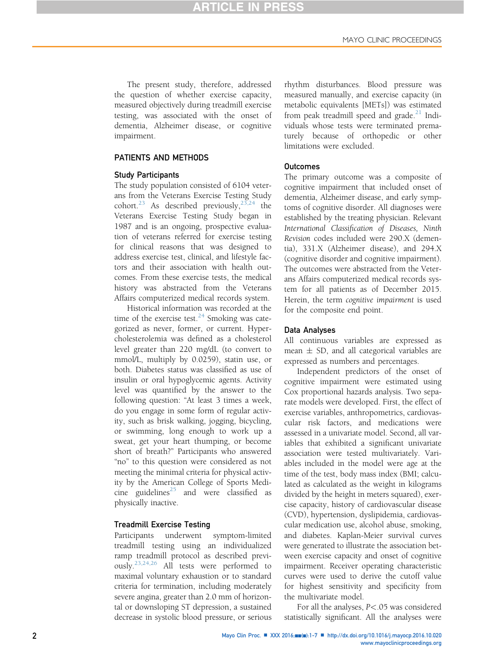The present study, therefore, addressed the question of whether exercise capacity, measured objectively during treadmill exercise testing, was associated with the onset of dementia, Alzheimer disease, or cognitive impairment.

### PATIENTS AND METHODS

### Study Participants

The study population consisted of 6104 veterans from the Veterans Exercise Testing Study cohort.<sup>[23](#page-6-0)</sup> As described previously,<sup>[23,24](#page-6-0)</sup> the Veterans Exercise Testing Study began in 1987 and is an ongoing, prospective evaluation of veterans referred for exercise testing for clinical reasons that was designed to address exercise test, clinical, and lifestyle factors and their association with health outcomes. From these exercise tests, the medical history was abstracted from the Veterans Affairs computerized medical records system.

Historical information was recorded at the time of the exercise test. $24$  Smoking was categorized as never, former, or current. Hypercholesterolemia was defined as a cholesterol level greater than 220 mg/dL (to convert to mmol/L, multiply by 0.0259), statin use, or both. Diabetes status was classified as use of insulin or oral hypoglycemic agents. Activity level was quantified by the answer to the following question: "At least 3 times a week, do you engage in some form of regular activity, such as brisk walking, jogging, bicycling, or swimming, long enough to work up a sweat, get your heart thumping, or become short of breath?" Participants who answered "no" to this question were considered as not meeting the minimal criteria for physical activity by the American College of Sports Medi-cine guidelines<sup>[25](#page-6-0)</sup> and were classified as physically inactive.

### Treadmill Exercise Testing

Participants underwent symptom-limited treadmill testing using an individualized ramp treadmill protocol as described previously.[23,24,26](#page-6-0) All tests were performed to maximal voluntary exhaustion or to standard criteria for termination, including moderately severe angina, greater than 2.0 mm of horizontal or downsloping ST depression, a sustained decrease in systolic blood pressure, or serious rhythm disturbances. Blood pressure was measured manually, and exercise capacity (in metabolic equivalents [METs]) was estimated from peak treadmill speed and grade. $^{21}$  $^{21}$  $^{21}$  Individuals whose tests were terminated prematurely because of orthopedic or other limitations were excluded.

## **Outcomes**

The primary outcome was a composite of cognitive impairment that included onset of dementia, Alzheimer disease, and early symptoms of cognitive disorder. All diagnoses were established by the treating physician. Relevant International Classification of Diseases, Ninth Revision codes included were 290.X (dementia), 331.X (Alzheimer disease), and 294.X (cognitive disorder and cognitive impairment). The outcomes were abstracted from the Veterans Affairs computerized medical records system for all patients as of December 2015. Herein, the term cognitive impairment is used for the composite end point.

### Data Analyses

All continuous variables are expressed as mean  $\pm$  SD, and all categorical variables are expressed as numbers and percentages.

Independent predictors of the onset of cognitive impairment were estimated using Cox proportional hazards analysis. Two separate models were developed. First, the effect of exercise variables, anthropometrics, cardiovascular risk factors, and medications were assessed in a univariate model. Second, all variables that exhibited a significant univariate association were tested multivariately. Variables included in the model were age at the time of the test, body mass index (BMI; calculated as calculated as the weight in kilograms divided by the height in meters squared), exercise capacity, history of cardiovascular disease (CVD), hypertension, dyslipidemia, cardiovascular medication use, alcohol abuse, smoking, and diabetes. Kaplan-Meier survival curves were generated to illustrate the association between exercise capacity and onset of cognitive impairment. Receiver operating characteristic curves were used to derive the cutoff value for highest sensitivity and specificity from the multivariate model.

For all the analyses, P<.05 was considered statistically significant. All the analyses were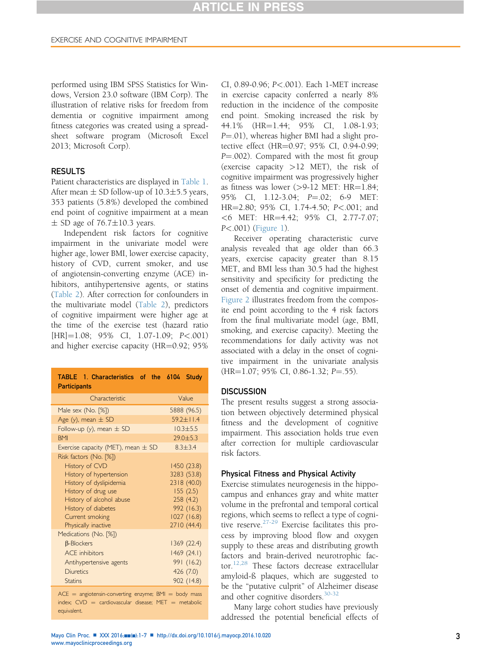performed using IBM SPSS Statistics for Windows, Version 23.0 software (IBM Corp). The illustration of relative risks for freedom from dementia or cognitive impairment among fitness categories was created using a spreadsheet software program (Microsoft Excel 2013; Microsoft Corp).

## **RESULTS**

Patient characteristics are displayed in Table 1. After mean  $\pm$  SD follow-up of 10.3 $\pm$ 5.5 years, 353 patients (5.8%) developed the combined end point of cognitive impairment at a mean  $\pm$  SD age of 76.7 $\pm$ 10.3 years.

Independent risk factors for cognitive impairment in the univariate model were higher age, lower BMI, lower exercise capacity, history of CVD, current smoker, and use of angiotensin-converting enzyme (ACE) inhibitors, antihypertensive agents, or statins ([Table 2](#page-3-0)). After correction for confounders in the multivariate model ([Table 2](#page-3-0)), predictors of cognitive impairment were higher age at the time of the exercise test (hazard ratio  $[HR] = 1.08; 95\% \text{ CI}, 1.07 - 1.09; P < .001)$ and higher exercise capacity ( $HR=0.92$ ; 95%

| TABLE 1. Characteristics of the 6104<br><b>Participants</b>                                                                                                                                                               | Study                                                                                                        |  |
|---------------------------------------------------------------------------------------------------------------------------------------------------------------------------------------------------------------------------|--------------------------------------------------------------------------------------------------------------|--|
| Characteristic                                                                                                                                                                                                            | Value                                                                                                        |  |
| Male sex (No. [%])                                                                                                                                                                                                        | 5888 (96.5)                                                                                                  |  |
| Age (y), mean $\pm$ SD                                                                                                                                                                                                    | $59.2 + 11.4$                                                                                                |  |
| Follow-up (y), mean $\pm$ SD                                                                                                                                                                                              | $10.3 + 5.5$                                                                                                 |  |
| <b>BMI</b>                                                                                                                                                                                                                | $29.0 + 5.3$                                                                                                 |  |
| Exercise capacity (MET), mean $\pm$ SD                                                                                                                                                                                    | $8.3 + 3.4$                                                                                                  |  |
| Risk factors (No. [%])<br><b>History of CVD</b><br>History of hypertension<br>History of dyslipidemia<br>History of drug use<br>History of alcohol abuse<br>History of diabetes<br>Current smoking<br>Physically inactive | 1450 (23.8)<br>3283 (53.8)<br>2318 (40.0)<br>155(2.5)<br>258(4.2)<br>992 (16.3)<br>1027(16.8)<br>2710 (44.4) |  |
| Medications (No. [%])<br><b>B-Blockers</b><br><b>ACF</b> inhibitors<br>Antihypertensive agents<br><b>Diuretics</b><br><b>Statins</b>                                                                                      | 1369 (22.4)<br>1469 (24.1)<br>991 (16.2)<br>426(7.0)<br>902 (14.8)                                           |  |
| $ACE = angiotensin-converting enzyme; BMI = body \text{ mass}$<br>$index$ $CVD =$ cardiovascular disease: MFT = metabolic                                                                                                 |                                                                                                              |  |

 $index; CVD = cardiovascular disease; MET = metalbolic$ equivalent.

CI, 0.89-0.96; P<.001). Each 1-MET increase in exercise capacity conferred a nearly 8% reduction in the incidence of the composite end point. Smoking increased the risk by 44.1% (HR=1.44; 95% CI, 1.08-1.93; P=.01), whereas higher BMI had a slight protective effect (HR=0.97; 95% CI, 0.94-0.99;  $P = .002$ ). Compared with the most fit group (exercise capacity >12 MET), the risk of cognitive impairment was progressively higher as fitness was lower  $(>9-12$  MET: HR=1.84; 95% CI, 1.12-3.04; P=.02; 6-9 MET: HR=2.80; 95% CI, 1.74-4.50; P<.001; and  $<$  6 MET: HR=4.42; 95% CI, 2.77-7.07; P<.001) ([Figure 1\)](#page-3-0).

Receiver operating characteristic curve analysis revealed that age older than 66.3 years, exercise capacity greater than 8.15 MET, and BMI less than 30.5 had the highest sensitivity and specificity for predicting the onset of dementia and cognitive impairment. [Figure 2](#page-4-0) illustrates freedom from the composite end point according to the 4 risk factors from the final multivariate model (age, BMI, smoking, and exercise capacity). Meeting the recommendations for daily activity was not associated with a delay in the onset of cognitive impairment in the univariate analysis  $(HR=1.07; 95\% \text{ CI}, 0.86-1.32; P=.55).$ 

### **DISCUSSION**

The present results suggest a strong association between objectively determined physical fitness and the development of cognitive impairment. This association holds true even after correction for multiple cardiovascular risk factors.

### Physical Fitness and Physical Activity

Exercise stimulates neurogenesis in the hippocampus and enhances gray and white matter volume in the prefrontal and temporal cortical regions, which seems to reflect a type of cognitive reserve. $27-29$  Exercise facilitates this process by improving blood flow and oxygen supply to these areas and distributing growth factors and brain-derived neurotrophic factor.[12,28](#page-6-0) These factors decrease extracellular amyloid-ß plaques, which are suggested to be the "putative culprit" of Alzheimer disease and other cognitive disorders.<sup>[30-32](#page-6-0)</sup>

Many large cohort studies have previously addressed the potential beneficial effects of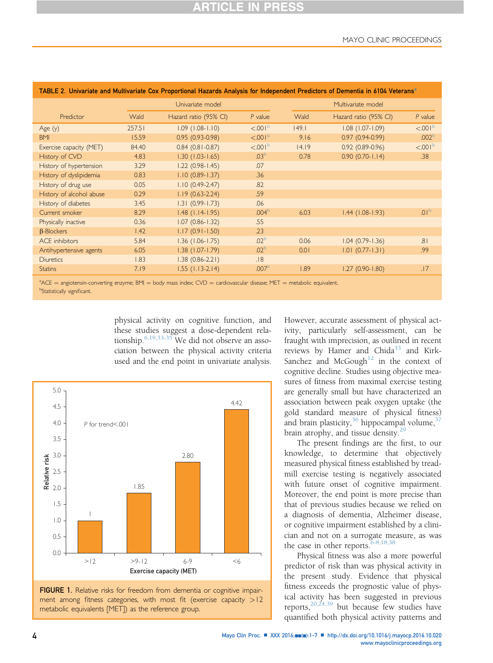| "TABLE 2. Univariate and Multivariate Cox Proportional Hazards Analysis for Independent Predictors of Dementia in 6104 Veterans |        |                        |                      |       |                        |                     |  |
|---------------------------------------------------------------------------------------------------------------------------------|--------|------------------------|----------------------|-------|------------------------|---------------------|--|
|                                                                                                                                 |        | Univariate model       |                      |       | Multivariate model     |                     |  |
| Predictor                                                                                                                       | Wald   | Hazard ratio (95% CI)  | $P$ value            | Wald  | Hazard ratio (95% CI)  | $P$ value           |  |
| Age $(y)$                                                                                                                       | 257.51 | $1.09$ $(1.08 - 1.10)$ | < 0.01 <sup>b</sup>  | 149.1 | $1.08$ $(1.07 - 1.09)$ | < 0.01 <sup>b</sup> |  |
| <b>BMI</b>                                                                                                                      | 15.59  | $0.95(0.93-0.98)$      | < 0.001 <sup>b</sup> | 9.16  | $0.97(0.94-0.99)$      | .002 <sup>b</sup>   |  |
| Exercise capacity (MET)                                                                                                         | 84.40  | $0.84$ (0.81-0.87)     | $< 0.001^b$          | 14.19 | $0.92(0.89 - 0.96)$    | < 0.01 <sup>b</sup> |  |
| History of CVD                                                                                                                  | 4.83   | $1.30(1.03 - 1.65)$    | .03 <sup>b</sup>     | 0.78  | $0.90(0.70 - 1.14)$    | .38                 |  |
| History of hypertension                                                                                                         | 3.29   | $1.22(0.98 - 1.45)$    | .07                  |       |                        |                     |  |
| History of dyslipidemia                                                                                                         | 0.83   | $1.10(0.89 - 1.37)$    | .36                  |       |                        |                     |  |
| History of drug use                                                                                                             | 0.05   | $1.10(0.49 - 2.47)$    | .82                  |       |                        |                     |  |
| History of alcohol abuse                                                                                                        | 0.29   | $1.19(0.63 - 2.24)$    | .59                  |       |                        |                     |  |
| History of diabetes                                                                                                             | 3.45   | $1.31(0.99 - 1.73)$    | .06                  |       |                        |                     |  |
| Current smoker                                                                                                                  | 8.29   | $1.48$ (1.14-1.95)     | .004 <sup>b</sup>    | 6.03  | $1.44$ (1.08-1.93)     | .01 <sup>b</sup>    |  |
| Physically inactive                                                                                                             | 0.36   | $1.07(0.86 - 1.32)$    | .55                  |       |                        |                     |  |
| $\beta$ -Blockers                                                                                                               | 1.42   | $1.17(0.91 - 1.50)$    | .23                  |       |                        |                     |  |
| <b>ACE</b> inhibitors                                                                                                           | 5.84   | $1.36$ (1.06-1.75)     | .02 <sup>b</sup>     | 0.06  | $1.04(0.79 - 1.36)$    | .81                 |  |
| Antihypertensive agents                                                                                                         | 6.05   | $1.38$ $(1.07 - 1.79)$ | .02 <sup>b</sup>     | 0.01  | $1.01 (0.77 - 1.31)$   | .99                 |  |
| <b>Diuretics</b>                                                                                                                | 1.83   | $1.38(0.86 - 2.21)$    | .18                  |       |                        |                     |  |
| <b>Statins</b>                                                                                                                  | 7.19   | $1.55$ (1.13-2.14)     | .007 <sup>b</sup>    | 1.89  | $1.27(0.90 - 1.80)$    | .17                 |  |
|                                                                                                                                 |        |                        |                      |       |                        |                     |  |

### <span id="page-3-0"></span>TABLE 2. Univariate and Multivariate Cox Proportional Hazards Analysis for Independent Predictors of Dementia in 6104 Veterans<sup>a</sup>

 $ACE = \text{angiotension-converting enzyme; BMI} = \text{body mass index; CVD} = \text{cardiovascular disease; MET} = \text{metabolic equivalent.}$ **bStatistically significant.** 

> physical activity on cognitive function, and these studies suggest a dose-dependent relationship.[6,19,33-35](#page-5-0) We did not observe an association between the physical activity criteria used and the end point in univariate analysis.





However, accurate assessment of physical activity, particularly self-assessment, can be fraught with imprecision, as outlined in recent reviews by Hamer and Chida<sup>[33](#page-6-0)</sup> and Kirk-Sanchez and McGough<sup>[12](#page-6-0)</sup> in the context of cognitive decline. Studies using objective measures of fitness from maximal exercise testing are generally small but have characterized an association between peak oxygen uptake (the gold standard measure of physical fitness) and brain plasticity,  $36$  hippocampal volume,  $37$ brain atrophy, and tissue density.<sup>[29](#page-6-0)</sup>

The present findings are the first, to our knowledge, to determine that objectively measured physical fitness established by treadmill exercise testing is negatively associated with future onset of cognitive impairment. Moreover, the end point is more precise than that of previous studies because we relied on a diagnosis of dementia, Alzheimer disease, or cognitive impairment established by a clinician and not on a surrogate measure, as was the case in other reports.  $6-8,18,38$ 

Physical fitness was also a more powerful predictor of risk than was physical activity in the present study. Evidence that physical fitness exceeds the prognostic value of physical activity has been suggested in previous reports,  $20,24,39$  but because few studies have quantified both physical activity patterns and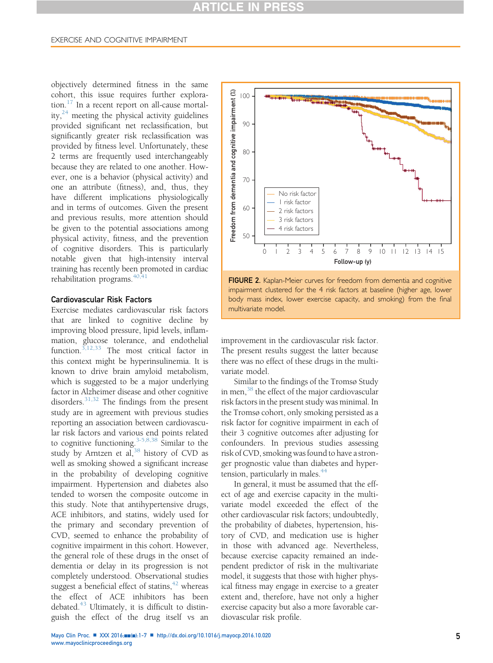# **ARTICLE IN PRESS**

### <span id="page-4-0"></span>EXERCISE AND COGNITIVE IMPAIRMENT

objectively determined fitness in the same cohort, this issue requires further exploration. $17$  In a recent report on all-cause mortality, $24$  meeting the physical activity guidelines provided significant net reclassification, but significantly greater risk reclassification was provided by fitness level. Unfortunately, these 2 terms are frequently used interchangeably because they are related to one another. However, one is a behavior (physical activity) and one an attribute (fitness), and, thus, they have different implications physiologically and in terms of outcomes. Given the present and previous results, more attention should be given to the potential associations among physical activity, fitness, and the prevention of cognitive disorders. This is particularly notable given that high-intensity interval training has recently been promoted in cardiac rehabilitation programs. $40,41$ 

### Cardiovascular Risk Factors

Exercise mediates cardiovascular risk factors that are linked to cognitive decline by improving blood pressure, lipid levels, inflammation, glucose tolerance, and endothelial function.<sup>[3,12,33](#page-5-0)</sup> The most critical factor in this context might be hyperinsulinemia. It is known to drive brain amyloid metabolism, which is suggested to be a major underlying factor in Alzheimer disease and other cognitive disorders. $31,32$  The findings from the present study are in agreement with previous studies reporting an association between cardiovascular risk factors and various end points related to cognitive functioning.<sup>[3-5,8,38](#page-5-0)</sup> Similar to the study by Arntzen et al,  $38$  history of CVD as well as smoking showed a significant increase in the probability of developing cognitive impairment. Hypertension and diabetes also tended to worsen the composite outcome in this study. Note that antihypertensive drugs, ACE inhibitors, and statins, widely used for the primary and secondary prevention of CVD, seemed to enhance the probability of cognitive impairment in this cohort. However, the general role of these drugs in the onset of dementia or delay in its progression is not completely understood. Observational studies suggest a beneficial effect of statins,  $42$  whereas the effect of ACE inhibitors has been debated. $43$  Ultimately, it is difficult to distinguish the effect of the drug itself vs an





improvement in the cardiovascular risk factor. The present results suggest the latter because there was no effect of these drugs in the multivariate model.

Similar to the findings of the Tromsø Study in men, $38$  the effect of the major cardiovascular risk factors in the present study was minimal. In the Tromsø cohort, only smoking persisted as a risk factor for cognitive impairment in each of their 3 cognitive outcomes after adjusting for confounders. In previous studies assessing risk of CVD, smoking was found to have a stronger prognostic value than diabetes and hyper-tension, particularly in males.<sup>[44](#page-6-0)</sup>

In general, it must be assumed that the effect of age and exercise capacity in the multivariate model exceeded the effect of the other cardiovascular risk factors; undoubtedly, the probability of diabetes, hypertension, history of CVD, and medication use is higher in those with advanced age. Nevertheless, because exercise capacity remained an independent predictor of risk in the multivariate model, it suggests that those with higher physical fitness may engage in exercise to a greater extent and, therefore, have not only a higher exercise capacity but also a more favorable cardiovascular risk profile.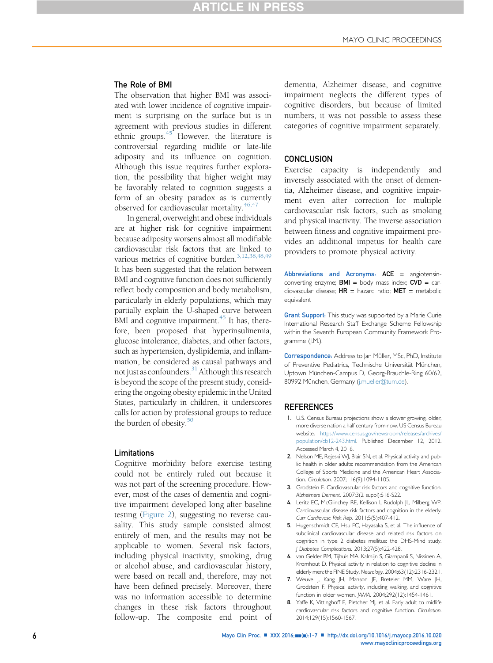# **ARTICLE IN PRESS**

### <span id="page-5-0"></span>The Role of BMI

The observation that higher BMI was associated with lower incidence of cognitive impairment is surprising on the surface but is in agreement with previous studies in different ethnic groups. $45$  However, the literature is controversial regarding midlife or late-life adiposity and its influence on cognition. Although this issue requires further exploration, the possibility that higher weight may be favorably related to cognition suggests a form of an obesity paradox as is currently observed for cardiovascular mortality. $46,47$ 

In general, overweight and obese individuals are at higher risk for cognitive impairment because adiposity worsens almost all modifiable cardiovascular risk factors that are linked to various metrics of cognitive burden.<sup>3,12,38,48,49</sup> It has been suggested that the relation between BMI and cognitive function does not sufficiently reflect body composition and body metabolism, particularly in elderly populations, which may partially explain the U-shaped curve between BMI and cognitive impairment. $45$  It has, therefore, been proposed that hyperinsulinemia, glucose intolerance, diabetes, and other factors, such as hypertension, dyslipidemia, and inflammation, be considered as causal pathways and not just as confounders.<sup>31</sup> Although this research is beyond the scope of the present study, considering the ongoing obesity epidemic in the United States, particularly in children, it underscores calls for action by professional groups to reduce the burden of obesity. $50$ 

#### Limitations

Cognitive morbidity before exercise testing could not be entirely ruled out because it was not part of the screening procedure. However, most of the cases of dementia and cognitive impairment developed long after baseline testing ([Figure 2\)](#page-4-0), suggesting no reverse causality. This study sample consisted almost entirely of men, and the results may not be applicable to women. Several risk factors, including physical inactivity, smoking, drug or alcohol abuse, and cardiovascular history, were based on recall and, therefore, may not have been defined precisely. Moreover, there was no information accessible to determine changes in these risk factors throughout follow-up. The composite end point of

dementia, Alzheimer disease, and cognitive impairment neglects the different types of cognitive disorders, but because of limited numbers, it was not possible to assess these categories of cognitive impairment separately.

### **CONCLUSION**

Exercise capacity is independently and inversely associated with the onset of dementia, Alzheimer disease, and cognitive impairment even after correction for multiple cardiovascular risk factors, such as smoking and physical inactivity. The inverse association between fitness and cognitive impairment provides an additional impetus for health care providers to promote physical activity.

Abbreviations and Acronyms:  $ACE =$  angiotensinconverting enzyme;  $BMI =$  body mass index;  $CVD =$  cardiovascular disease;  $HR =$  hazard ratio;  $MET =$  metabolic equivalent

**Grant Support:** This study was supported by a Marie Curie International Research Staff Exchange Scheme Fellowship within the Seventh European Community Framework Programme (J.M.).

Correspondence: Address to Jan Müller, MSc, PhD, Institute of Preventive Pediatrics, Technische Universität München, Uptown München-Campus D, Georg-Brauchle-Ring 60/62, 80992 München, Germany ([j.mueller@tum.de\)](mailto:j.mueller@tum.de).

### **REFERENCES**

- 1. U.S. Census Bureau projections show a slower growing, older, more diverse nation a half century from now. US Census Bureau website. [https://www.census.gov/newsroom/releases/archives/](https://www.census.gov/newsroom/releases/archives/population/cb12-243.html) [population/cb12-243.html](https://www.census.gov/newsroom/releases/archives/population/cb12-243.html). Published December 12, 2012. Accessed March 4, 2016.
- 2. Nelson ME, Rejeski WJ, Blair SN, et al. Physical activity and public health in older adults: recommendation from the American College of Sports Medicine and the American Heart Association. Circulation. 2007;116(9):1094-1105.
- 3. Grodstein F. Cardiovascular risk factors and cognitive function. Alzheimers Dement. 2007;3(2 suppl):S16-S22.
- 4. Leritz EC, McGlinchey RE, Kellison I, Rudolph JL, Milberg WP. Cardiovascular disease risk factors and cognition in the elderly. Curr Cardiovasc Risk Rep. 2011;5(5):407-412.
- 5. Hugenschmidt CE, Hsu FC, Hayasaka S, et al. The influence of subclinical cardiovascular disease and related risk factors on cognition in type 2 diabetes mellitus: the DHS-Mind study. J Diabetes Complications. 2013;27(5):422-428.
- 6. van Gelder BM, Tijhuis MA, Kalmijn S, Giampaoli S, Nissinen A, Kromhout D. Physical activity in relation to cognitive decline in elderly men: the FINE Study. Neurology. 2004;63(12):2316-2321.
- 7. Weuve J, Kang JH, Manson JE, Breteler MM, Ware JH, Grodstein F. Physical activity, including walking, and cognitive function in older women. JAMA. 2004;292(12):1454-1461.
- 8. Yaffe K, Vittinghoff E, Pletcher MJ, et al. Early adult to midlife cardiovascular risk factors and cognitive function. Circulation. 2014;129(15):1560-1567.